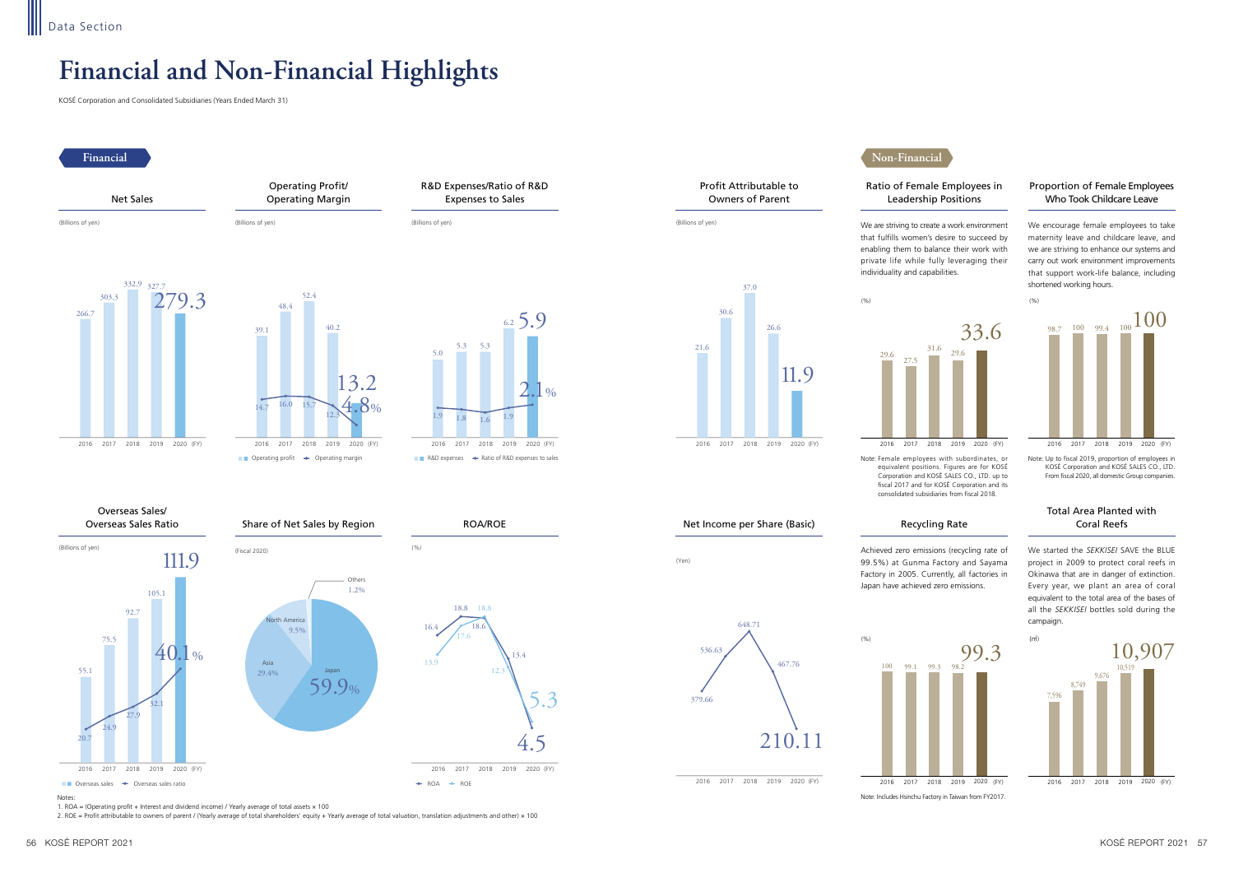# **Financial and Non-Financial Highlights**





KOSÉ Corporation and Consolidated Subsidiaries (Years Ended March 31)

Notes:

1. ROA = (Operating profit + Interest and dividend income) / Yearly average of total assets × 100

2. ROE = Profit attributable to owners of parent / (Yearly average of total shareholders' equity + Yearly average of total valuation, translation adjustments and other) × 100



### Proportion of Female Employees Who Took Childcare Leave

### Total Area Planted with Coral Reefs

We started the *SEKKISEI* SAVE the BLUE project in 2009 to protect coral reefs in Okinawa that are in danger of extinction. Every year, we plant an area of coral equivalent to the total area of the bases of all the *SEKKISEI* bottles sold during the campaign.

We encourage female employees to take maternity leave and childcare leave, and we are striving to enhance our systems and carry out work environment improvements that support work-life balance, including shortened working hours.

Note: Up to fiscal 2019, proportion of employees in KOSÉ Corporation and KOSÉ SALES CO., LTD. From fiscal 2020, all domestic Group companies.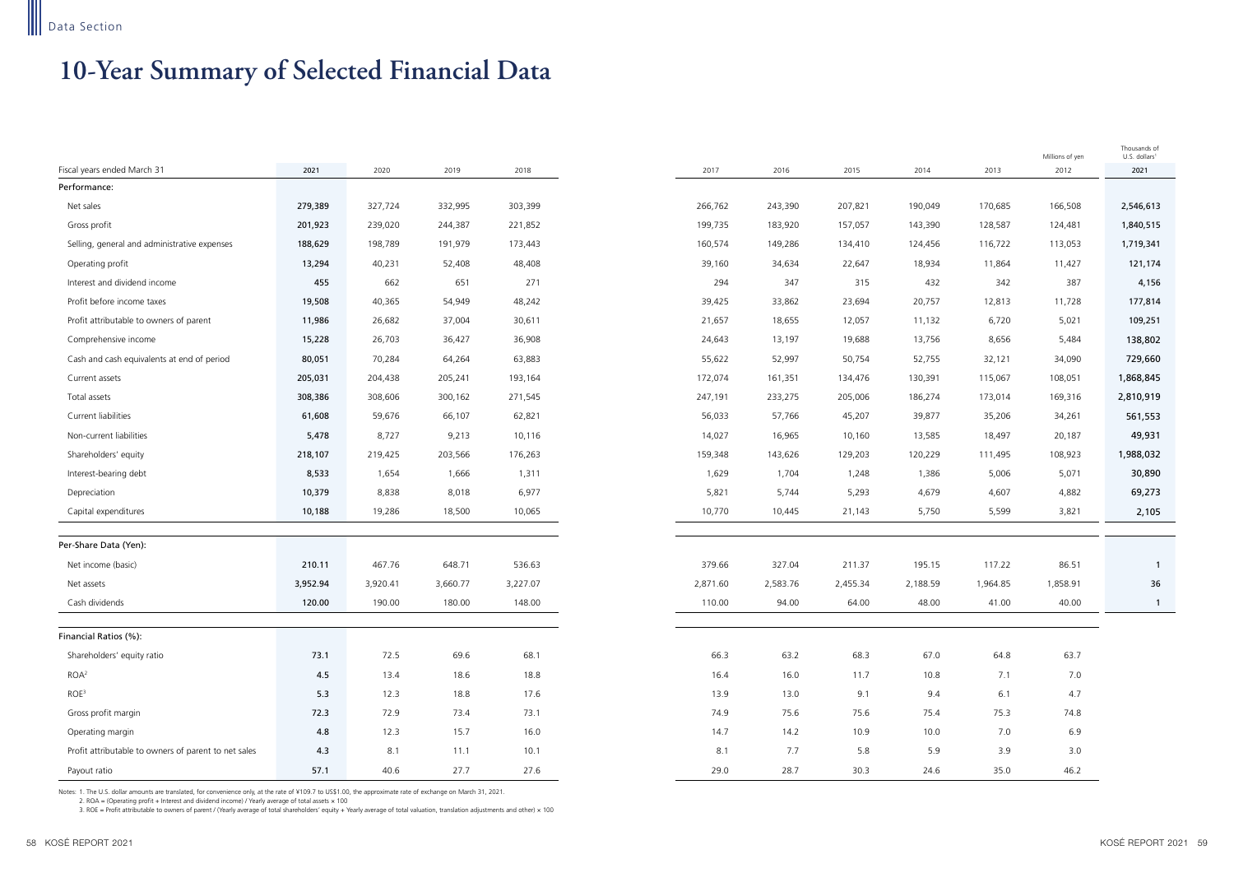## **10-Year Summary of Selected Financial Data**

|                                                      |          |          |          |          |          |          |          |          |          | Millions of yen | Thousands of<br>U.S. dollars <sup>1</sup> |
|------------------------------------------------------|----------|----------|----------|----------|----------|----------|----------|----------|----------|-----------------|-------------------------------------------|
| Fiscal years ended March 31                          | 2021     | 2020     | 2019     | 2018     | 2017     | 2016     | 2015     | 2014     | 2013     | 2012            | 2021                                      |
| Performance:                                         |          |          |          |          |          |          |          |          |          |                 |                                           |
| Net sales                                            | 279,389  | 327,724  | 332,995  | 303,399  | 266,762  | 243,390  | 207,821  | 190,049  | 170,685  | 166,508         | 2,546,613                                 |
| Gross profit                                         | 201,923  | 239,020  | 244,387  | 221,852  | 199,735  | 183,920  | 157,057  | 143,390  | 128,587  | 124,481         | 1,840,515                                 |
| Selling, general and administrative expenses         | 188,629  | 198,789  | 191,979  | 173,443  | 160,574  | 149,286  | 134,410  | 124,456  | 116,722  | 113,053         | 1,719,341                                 |
| Operating profit                                     | 13,294   | 40,231   | 52,408   | 48,408   | 39,160   | 34,634   | 22,647   | 18,934   | 11,864   | 11,427          | 121,174                                   |
| Interest and dividend income                         | 455      | 662      | 651      | 271      | 294      | 347      | 315      | 432      | 342      | 387             | 4,156                                     |
| Profit before income taxes                           | 19,508   | 40,365   | 54,949   | 48,242   | 39,425   | 33,862   | 23,694   | 20,757   | 12,813   | 11,728          | 177,814                                   |
| Profit attributable to owners of parent              | 11,986   | 26,682   | 37,004   | 30,611   | 21,657   | 18,655   | 12,057   | 11,132   | 6,720    | 5,021           | 109,251                                   |
| Comprehensive income                                 | 15,228   | 26,703   | 36,427   | 36,908   | 24,643   | 13,197   | 19,688   | 13,756   | 8,656    | 5,484           | 138,802                                   |
| Cash and cash equivalents at end of period           | 80,051   | 70,284   | 64,264   | 63,883   | 55,622   | 52,997   | 50,754   | 52,755   | 32,121   | 34,090          | 729,660                                   |
| Current assets                                       | 205,031  | 204,438  | 205,241  | 193,164  | 172,074  | 161,351  | 134,476  | 130,391  | 115,067  | 108,051         | 1,868,845                                 |
| Total assets                                         | 308,386  | 308,606  | 300,162  | 271,545  | 247,191  | 233,275  | 205,006  | 186,274  | 173,014  | 169,316         | 2,810,919                                 |
| Current liabilities                                  | 61,608   | 59,676   | 66,107   | 62,821   | 56,033   | 57,766   | 45,207   | 39,877   | 35,206   | 34,261          | 561,553                                   |
| Non-current liabilities                              | 5,478    | 8,727    | 9,213    | 10,116   | 14,027   | 16,965   | 10,160   | 13,585   | 18,497   | 20,187          | 49,931                                    |
| Shareholders' equity                                 | 218,107  | 219,425  | 203,566  | 176,263  | 159,348  | 143,626  | 129,203  | 120,229  | 111,495  | 108,923         | 1,988,032                                 |
| Interest-bearing debt                                | 8,533    | 1,654    | 1,666    | 1,311    | 1,629    | 1,704    | 1,248    | 1,386    | 5,006    | 5,071           | 30,890                                    |
| Depreciation                                         | 10,379   | 8,838    | 8,018    | 6,977    | 5,821    | 5,744    | 5,293    | 4,679    | 4,607    | 4,882           | 69,273                                    |
| Capital expenditures                                 | 10,188   | 19,286   | 18,500   | 10,065   | 10,770   | 10,445   | 21,143   | 5,750    | 5,599    | 3,821           | 2,105                                     |
|                                                      |          |          |          |          |          |          |          |          |          |                 |                                           |
| Per-Share Data (Yen):                                |          |          |          |          |          |          |          |          |          |                 |                                           |
| Net income (basic)                                   | 210.11   | 467.76   | 648.71   | 536.63   | 379.66   | 327.04   | 211.37   | 195.15   | 117.22   | 86.51           | $\overline{\mathbf{1}}$                   |
| Net assets                                           | 3,952.94 | 3,920.41 | 3,660.77 | 3,227.07 | 2,871.60 | 2,583.76 | 2,455.34 | 2,188.59 | 1,964.85 | 1,858.91        | 36                                        |
| Cash dividends                                       | 120.00   | 190.00   | 180.00   | 148.00   | 110.00   | 94.00    | 64.00    | 48.00    | 41.00    | 40.00           | $\overline{1}$                            |
| Financial Ratios (%):                                |          |          |          |          |          |          |          |          |          |                 |                                           |
| Shareholders' equity ratio                           | 73.1     | 72.5     | 69.6     | 68.1     | 66.3     | 63.2     | 68.3     | 67.0     | 64.8     | 63.7            |                                           |
| ROA <sup>2</sup>                                     | 4.5      | 13.4     | 18.6     | 18.8     | 16.4     | 16.0     | 11.7     | 10.8     | 7.1      | 7.0             |                                           |
| ROE <sup>3</sup>                                     | 5.3      | 12.3     | 18.8     | 17.6     | 13.9     | 13.0     | 9.1      | 9.4      | 6.1      | 4.7             |                                           |
| Gross profit margin                                  | 72.3     | 72.9     | 73.4     | 73.1     | 74.9     | 75.6     | 75.6     | 75.4     | 75.3     | 74.8            |                                           |
| Operating margin                                     | 4.8      | 12.3     | 15.7     | 16.0     | 14.7     | 14.2     | 10.9     | 10.0     | 7.0      | 6.9             |                                           |
| Profit attributable to owners of parent to net sales | 4.3      | 8.1      | 11.1     | 10.1     | 8.1      | 7.7      | 5.8      | 5.9      | 3.9      | 3.0             |                                           |
| Payout ratio                                         | 57.1     | 40.6     | 27.7     | 27.6     | 29.0     | 28.7     | 30.3     | 24.6     | 35.0     | 46.2            |                                           |

Notes: 1. The U.S. dollar amounts are translated, for convenience only, at the rate of ¥109.7 to US\$1.00, the approximate rate of exchange on March 31, 2021.

2. ROA = (Operating profit + Interest and dividend income) / Yearly average of total assets × 100

3. ROE = Profit attributable to owners of parent / (Yearly average of total shareholders' equity + Yearly average of total valuation, translation adjustments and other) × 100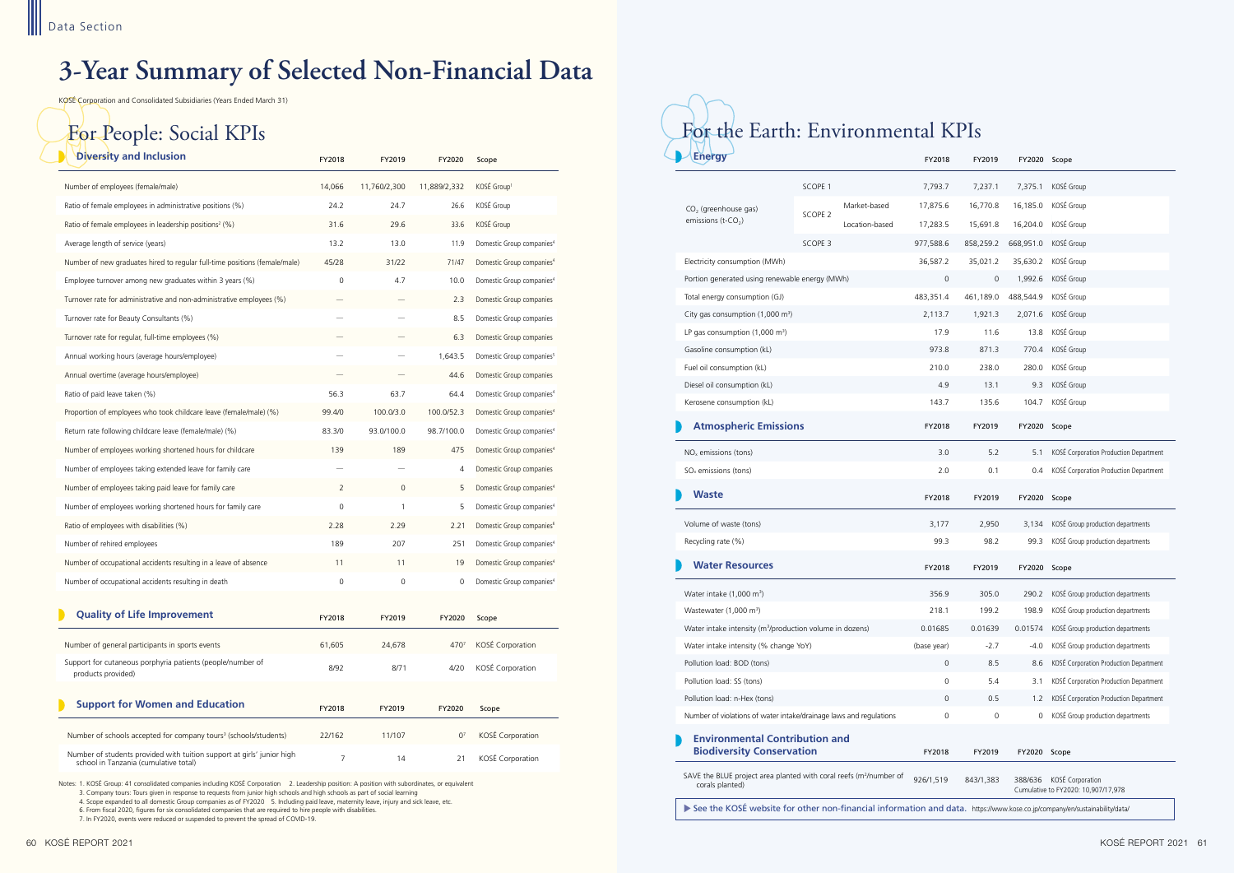# **3-Year Summary of Selected Non-Financial Data**



| <b>Diversity and Inclusion</b>                                                                                  | FY2018              | FY2019         | FY2020         | Scope                                 |
|-----------------------------------------------------------------------------------------------------------------|---------------------|----------------|----------------|---------------------------------------|
| Number of employees (female/male)                                                                               | 14,066              | 11,760/2,300   | 11,889/2,332   | KOSÉ Group1                           |
| Ratio of female employees in administrative positions (%)                                                       | 24.2                | 24.7           | 26.6           | KOSÉ Group                            |
| Ratio of female employees in leadership positions <sup>2</sup> (%)                                              | 31.6                | 29.6           | 33.6           | KOSÉ Group                            |
| Average length of service (years)                                                                               | 13.2                | 13.0           | 11.9           | Domestic Group companies <sup>4</sup> |
| Number of new graduates hired to regular full-time positions (female/male)                                      | 45/28               | 31/22          | 71/47          | Domestic Group companies <sup>4</sup> |
| Employee turnover among new graduates within 3 years (%)                                                        | $\mathbf 0$         | 4.7            | 10.0           | Domestic Group companies <sup>4</sup> |
| Turnover rate for administrative and non-administrative employees (%)                                           |                     |                | 2.3            | Domestic Group companies              |
| Turnover rate for Beauty Consultants (%)                                                                        |                     |                | 8.5            | Domestic Group companies              |
| Turnover rate for regular, full-time employees (%)                                                              |                     |                | 6.3            | Domestic Group companies              |
| Annual working hours (average hours/employee)                                                                   |                     |                | 1,643.5        | Domestic Group companies <sup>5</sup> |
| Annual overtime (average hours/employee)                                                                        |                     |                | 44.6           | Domestic Group companies              |
| Ratio of paid leave taken (%)                                                                                   | 56.3                | 63.7           | 64.4           | Domestic Group companies <sup>4</sup> |
| Proportion of employees who took childcare leave (female/male) (%)                                              | 99.4/0              | 100.0/3.0      | 100.0/52.3     | Domestic Group companies <sup>4</sup> |
| Return rate following childcare leave (female/male) (%)                                                         | 83.3/0              | 93.0/100.0     | 98.7/100.0     | Domestic Group companies <sup>4</sup> |
| Number of employees working shortened hours for childcare                                                       | 139                 | 189            | 475            | Domestic Group companies <sup>4</sup> |
| Number of employees taking extended leave for family care                                                       |                     |                | 4              | Domestic Group companies              |
| Number of employees taking paid leave for family care                                                           | $\overline{2}$      | $\overline{0}$ | 5              | Domestic Group companies <sup>4</sup> |
| Number of employees working shortened hours for family care                                                     | 0                   | 1              | 5              | Domestic Group companies <sup>4</sup> |
| Ratio of employees with disabilities (%)                                                                        | 2.28                | 2.29           | 2.21           | Domestic Group companies <sup>6</sup> |
| Number of rehired employees                                                                                     | 189                 | 207            | 251            | Domestic Group companies <sup>4</sup> |
| Number of occupational accidents resulting in a leave of absence                                                | 11                  | 11             | 19             | Domestic Group companies <sup>4</sup> |
| Number of occupational accidents resulting in death                                                             | $\mathsf{O}\xspace$ | 0              | 0              | Domestic Group companies <sup>4</sup> |
|                                                                                                                 |                     |                |                |                                       |
| <b>Quality of Life Improvement</b>                                                                              | FY2018              | FY2019         | FY2020         | Scope                                 |
| Number of general participants in sports events                                                                 | 61,605              | 24,678         | 4707           | KOSÉ Corporation                      |
| Support for cutaneous porphyria patients (people/number of                                                      |                     |                |                |                                       |
| products provided)                                                                                              | 8/92                | 8/71           | 4/20           | KOSÉ Corporation                      |
|                                                                                                                 |                     |                |                |                                       |
| <b>Support for Women and Education</b>                                                                          | FY2018              | FY2019         | FY2020         | Scope                                 |
| Number of schools accepted for company tours <sup>3</sup> (schools/students)                                    | 22/162              | 11/107         | 0 <sup>7</sup> | KOSÉ Corporation                      |
| Number of students provided with tuition support at girls' junior high<br>school in Tanzania (cumulative total) | 7                   | 14             | 21             | KOSÉ Corporation                      |

| ruang                                                                                                                                                                                                                                                |                    |                | FY2018      | FY2019       | FY2020       | Scope                                  |
|------------------------------------------------------------------------------------------------------------------------------------------------------------------------------------------------------------------------------------------------------|--------------------|----------------|-------------|--------------|--------------|----------------------------------------|
|                                                                                                                                                                                                                                                      | SCOPE 1            |                | 7,793.7     | 7,237.1      | 7,375.1      | KOSÉ Group                             |
| $CO2$ (greenhouse gas)                                                                                                                                                                                                                               |                    | Market-based   | 17,875.6    | 16,770.8     | 16,185.0     | KOSÉ Group                             |
| emissions $(t$ -CO <sub>2</sub> )                                                                                                                                                                                                                    | SCOPE <sub>2</sub> | Location-based | 17,283.5    | 15,691.8     | 16,204.0     | KOSÉ Group                             |
|                                                                                                                                                                                                                                                      | SCOPE 3            |                | 977,588.6   | 858,259.2    | 668,951.0    | KOSÉ Group                             |
| Electricity consumption (MWh)                                                                                                                                                                                                                        |                    |                | 36,587.2    | 35,021.2     | 35,630.2     | KOSÉ Group                             |
| Portion generated using renewable energy (MWh)                                                                                                                                                                                                       |                    |                | $\mathbf 0$ | $\mathbf{0}$ | 1,992.6      | KOSÉ Group                             |
| Total energy consumption (GJ)                                                                                                                                                                                                                        |                    |                | 483,351.4   | 461,189.0    | 488,544.9    | KOSÉ Group                             |
| City gas consumption $(1,000 \text{ m}^3)$                                                                                                                                                                                                           |                    |                | 2,113.7     | 1,921.3      | 2,071.6      | KOSÉ Group                             |
| LP gas consumption $(1,000 \text{ m}^3)$                                                                                                                                                                                                             |                    |                | 17.9        | 11.6         | 13.8         | KOSÉ Group                             |
| Gasoline consumption (kL)                                                                                                                                                                                                                            |                    |                | 973.8       | 871.3        | 770.4        | KOSÉ Group                             |
| Fuel oil consumption (kL)                                                                                                                                                                                                                            |                    |                | 210.0       | 238.0        | 280.0        | KOSÉ Group                             |
| Diesel oil consumption (kL)                                                                                                                                                                                                                          |                    |                | 4.9         | 13.1         | 9.3          | KOSÉ Group                             |
| Kerosene consumption (kL)                                                                                                                                                                                                                            |                    |                | 143.7       | 135.6        | 104.7        | KOSÉ Group                             |
|                                                                                                                                                                                                                                                      |                    |                |             |              |              |                                        |
| <b>Atmospheric Emissions</b>                                                                                                                                                                                                                         |                    |                | FY2018      | FY2019       | FY2020       | Scope                                  |
| $NOx$ emissions (tons)                                                                                                                                                                                                                               |                    |                | 3.0         | 5.2          | 5.1          | KOSÉ Corporation Production Department |
| $SOx$ emissions (tons)                                                                                                                                                                                                                               |                    |                | 2.0         | 0.1          | 0.4          | KOSÉ Corporation Production Department |
| Waste                                                                                                                                                                                                                                                |                    |                | FY2018      | FY2019       | FY2020 Scope |                                        |
| Volume of waste (tons)                                                                                                                                                                                                                               |                    |                | 3,177       | 2,950        | 3,134        | KOSÉ Group production departments      |
| Recycling rate (%)                                                                                                                                                                                                                                   |                    |                | 99.3        | 98.2         | 99.3         | KOSÉ Group production departments      |
| <b>Water Resources</b>                                                                                                                                                                                                                               |                    |                | FY2018      | FY2019       | FY2020       | Scope                                  |
|                                                                                                                                                                                                                                                      |                    |                |             |              |              |                                        |
|                                                                                                                                                                                                                                                      |                    |                | 356.9       | 305.0        | 290.2        | KOSÉ Group production departments      |
|                                                                                                                                                                                                                                                      |                    |                | 218.1       | 199.2        | 198.9        | KOSÉ Group production departments      |
|                                                                                                                                                                                                                                                      |                    |                | 0.01685     | 0.01639      | 0.01574      | KOSÉ Group production departments      |
|                                                                                                                                                                                                                                                      |                    |                | (base year) | $-2.7$       | $-4.0$       | KOSÉ Group production departments      |
|                                                                                                                                                                                                                                                      |                    |                | 0           | 8.5          | 8.6          | KOSÉ Corporation Production Department |
| Water intake $(1,000 \text{ m}^3)$<br>Wastewater (1,000 m <sup>3</sup> )<br>Water intake intensity (m <sup>3</sup> /production volume in dozens)<br>Water intake intensity (% change YoY)<br>Pollution load: BOD (tons)<br>Pollution load: SS (tons) |                    |                | 0           | 5.4          | 3.1          | KOSÉ Corporation Production Department |
| Pollution load: n-Hex (tons)                                                                                                                                                                                                                         |                    |                | 0           | 0.5          | 1.2          | KOSÉ Corporation Production Department |
| Number of violations of water intake/drainage laws and regulations                                                                                                                                                                                   |                    |                | 0           | 0            | 0            | KOSÉ Group production departments      |
| <b>Environmental Contribution and</b><br><b>Biodiversity Conservation</b>                                                                                                                                                                            |                    |                | FY2018      | FY2019       | FY2020       | Scope                                  |

KOSÉ Corporation and Consolidated Subsidiaries (Years Ended March 31)

Notes: 1. KOSÉ Group: 41 consolidated companies including KOSÉ Corporation 2. Leadership position: A position with subordinates, or equivalent 3. Company tours: Tours given in response to requests from junior high schools and high schools as part of social learning 4. Scope expanded to all domestic Group companies as of FY2020 5. Including paid leave, maternity leave, injury and sick leave, etc.

6. From fiscal 2020, figures for six consolidated companies that are required to hire people with disabilities.

7. In FY2020, events were reduced or suspended to prevent the spread of COVID-19.